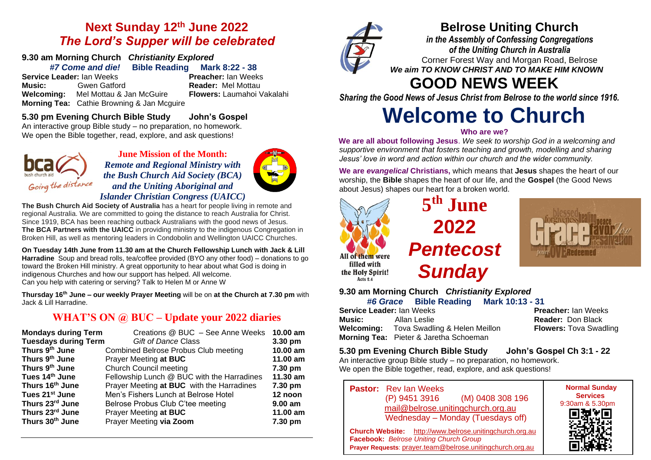## **Next Sunday 12th June 2022** *The Lord's Supper will be celebrated*

# **9.30 am Morning Church** *Christianity Explored*

*#7 Come and die!* **Bible Reading Mark 8:22 - 38 Service Leader:** Ian Weeks **Preacher:** Ian Weeks **Music:** Gwen Gatford **Reader:** Mel Mottau **Welcoming:** Mel Mottau & Jan McGuire **Flowers:** Laumahoi Vakalahi **Morning Tea:** Cathie Browning & Jan Mcguire

#### **5.30 pm Evening Church Bible Study John's Gospel**

An interactive group Bible study – no preparation, no homework. We open the Bible together, read, explore, and ask questions!



#### **June Mission of the Month:** *Remote and Regional Ministry with the Bush Church Aid Society (BCA) and the Uniting Aboriginal and Islander Christian Congress (UAICC)*



**The Bush Church Aid Society of Australia** has a heart for people living in remote and regional Australia. We are committed to going the distance to reach Australia for Christ. Since 1919, BCA has been reaching outback Australians with the good news of Jesus. **The BCA Partners with the UAICC** in providing ministry to the indigenous Congregation in Broken Hill, as well as mentoring leaders in Condobolin and Wellington UAICC Churches.

**On Tuesday 14th June from 11.30 am at the Church Fellowship Lunch with Jack & Lill Harradine** Soup and bread rolls, tea/coffee provided (BYO any other food) – donations to go toward the Broken Hill ministry. A great opportunity to hear about what God is doing in indigenous Churches and how our support has helped. All welcome. Can you help with catering or serving? Talk to Helen M or Anne W

**Thursday 16th June – our weekly Prayer Meeting** will be on **at the Church at 7.30 pm** with Jack & Lill Harradine.

### **WHAT'S ON @ BUC – Update your 2022 diaries**

| <b>Mondays during Term</b>  | Creations @ BUC - See Anne Weeks            | 10.00 am  |
|-----------------------------|---------------------------------------------|-----------|
| <b>Tuesdays during Term</b> | <b>Gift of Dance Class</b>                  | 3.30 pm   |
| Thurs 9th June              | <b>Combined Belrose Probus Club meeting</b> | 10.00 am  |
| Thurs 9th June              | Prayer Meeting at BUC                       | 11.00 am  |
| Thurs 9th June              | <b>Church Council meeting</b>               | 7.30 pm   |
| Tues 14th June              | Fellowship Lunch @ BUC with the Harradines  | 11.30 am  |
| Thurs 16th June             | Prayer Meeting at BUC with the Harradines   | 7.30 pm   |
| Tues 21 <sup>st</sup> June  | Men's Fishers Lunch at Belrose Hotel        | 12 noon   |
| Thurs 23rd June             | Belrose Probus Club C'tee meeting           | $9.00$ am |
| Thurs 23rd June             | Prayer Meeting at BUC                       | 11.00 am  |
| Thurs 30th June             | Prayer Meeting via Zoom                     | 7.30 pm   |



## **Belrose Uniting Church**

*in the Assembly of Confessing Congregations of the Uniting Church in Australia* Corner Forest Way and Morgan Road, Belrose *We aim TO KNOW CHRIST AND TO MAKE HIM KNOWN*

# **GOOD NEWS WEEK**

*Sharing the Good News of Jesus Christ from Belrose to the world since 1916.*

# **Welcome to Church**

#### **Who are we?**

**We are all about following Jesus**. *We seek to worship God in a welcoming and supportive environment that fosters teaching and growth, modelling and sharing Jesus' love in word and action within our church and the wider community.*

**We are** *evangelical* **Christians,** which means that **Jesus** shapes the heart of our worship, the **Bible** shapes the heart of our life, and the **Gospel** (the Good News about Jesus) shapes our heart for a broken world.



Acts 2.4

**5 th June 2022** *Pentecost Sunday*



**9.30 am Morning Church** *Christianity Explored*

|        |                           |                                                 | #6 Grace Bible Reading Mark 10:13 - 31 |  |
|--------|---------------------------|-------------------------------------------------|----------------------------------------|--|
|        | Service Leader: Ian Weeks |                                                 | Pre                                    |  |
| Music: |                           | Allan Leslie                                    | Rea                                    |  |
|        |                           | <b>Welcoming:</b> Tova Swadling & Helen Meillon |                                        |  |
|        |                           | Morning Tea: Pieter & Jaretha Schoeman          |                                        |  |

**Service Leader:** Ian Weeks **Preacher:** Ian Weeks **Reader: Don Black Flowers: Tova Swadling** 

#### **5.30 pm Evening Church Bible Study John's Gospel Ch 3:1 - 22**

An interactive group Bible study – no preparation, no homework. We open the Bible together, read, explore, and ask questions!

**Pastor:** Rev Ian Weeks (P) 9451 3916 (M) 0408 308 196 [mail@belrose.unitingchurch.org.au](mailto:mail@belrose.unitingchurch.org.au) Wednesday – Monday (Tuesdays off)



**Church Website:** [http://www.belrose.unitingchurch.org.au](http://www.belrose.unitingchurch.org.au/) **Facebook:** *Belrose Uniting Church Group* **Prayer Requests**: [prayer.team@belrose.unitingchurch.org.au](mailto:prayer.team@belrose.unitingchurch.org.au)